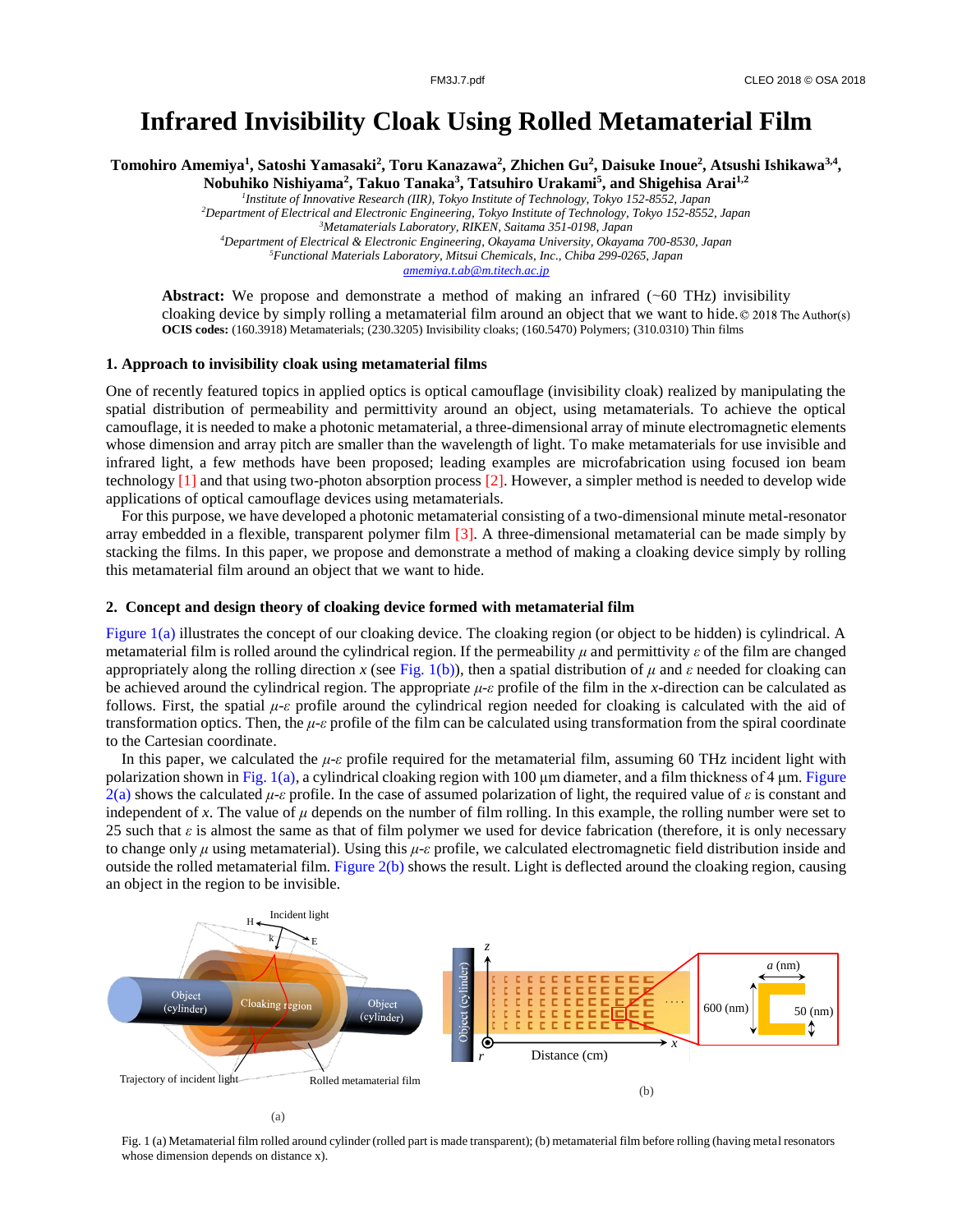# **Infrared Invisibility Cloak Using Rolled Metamaterial Film**

**Tomohiro Amemiya<sup>1</sup> , Satoshi Yamasaki<sup>2</sup> , Toru Kanazawa<sup>2</sup> , Zhichen Gu<sup>2</sup> , Daisuke Inoue<sup>2</sup> , Atsushi Ishikawa3,4 , Nobuhiko Nishiyama<sup>2</sup> , Takuo Tanaka<sup>3</sup> , Tatsuhiro Urakami<sup>5</sup> , and Shigehisa Arai1,2**

> *Institute of Innovative Research (IIR), Tokyo Institute of Technology, Tokyo 152-8552, Japan Department of Electrical and Electronic Engineering, Tokyo Institute of Technology, Tokyo 152-8552, Japan Metamaterials Laboratory, RIKEN, Saitama 351-0198, Japan Department of Electrical & Electronic Engineering, Okayama University, Okayama 700-8530, Japan Functional Materials Laboratory, Mitsui Chemicals, Inc., Chiba 299-0265, Japan*

> > *amemiya.t.ab@m.titech.ac.jp*

**Abstract:** We propose and demonstrate a method of making an infrared (~60 THz) invisibility cloaking device by simply rolling a metamaterial film around an object that we want to hide.  $\circ$  2018 The Author(s) **OCIS codes:** (160.3918) Metamaterials; (230.3205) Invisibility cloaks; (160.5470) Polymers; (310.0310) Thin films

# **1. Approach to invisibility cloak using metamaterial films**

One of recently featured topics in applied optics is optical camouflage (invisibility cloak) realized by manipulating the spatial distribution of permeability and permittivity around an object, using metamaterials. To achieve the optical camouflage, it is needed to make a photonic metamaterial, a three-dimensional array of minute electromagnetic elements whose dimension and array pitch are smaller than the wavelength of light. To make metamaterials for use invisible and infrared light, a few methods have been proposed; leading examples are microfabrication using focused ion beam technology [1] and that using two-photon absorption process [2]. However, a simpler method is needed to develop wide applications of optical camouflage devices using metamaterials.

For this purpose, we have developed a photonic metamaterial consisting of a two-dimensional minute metal-resonator array embedded in a flexible, transparent polymer film [3]. A three-dimensional metamaterial can be made simply by stacking the films. In this paper, we propose and demonstrate a method of making a cloaking device simply by rolling this metamaterial film around an object that we want to hide.

### **2. Concept and design theory of cloaking device formed with metamaterial film**

Figure 1(a) illustrates the concept of our cloaking device. The cloaking region (or object to be hidden) is cylindrical. A metamaterial film is rolled around the cylindrical region. If the permeability *μ* and permittivity *ε* of the film are changed appropriately along the rolling direction *x* (see Fig. 1(b)), then a spatial distribution of  $\mu$  and  $\varepsilon$  needed for cloaking can be achieved around the cylindrical region. The appropriate *μ*-*ε* profile of the film in the *x*-direction can be calculated as follows. First, the spatial *μ*-*ε* profile around the cylindrical region needed for cloaking is calculated with the aid of transformation optics. Then, the *μ*-*ε* profile of the film can be calculated using transformation from the spiral coordinate to the Cartesian coordinate.

In this paper, we calculated the *μ*-*ε* profile required for the metamaterial film, assuming 60 THz incident light with polarization shown in Fig. 1(a), a cylindrical cloaking region with 100 μm diameter, and a film thickness of 4 μm. Figure 2(a) shows the calculated  $\mu$ -*ε* profile. In the case of assumed polarization of light, the required value of *ε* is constant and independent of x. The value of  $\mu$  depends on the number of film rolling. In this example, the rolling number were set to 25 such that  $\varepsilon$  is almost the same as that of film polymer we used for device fabrication (therefore, it is only necessary to change only *μ* using metamaterial). Using this *μ*-*ε* profile, we calculated electromagnetic field distribution inside and outside the rolled metamaterial film. Figure  $2(b)$  shows the result. Light is deflected around the cloaking region, causing an object in the region to be invisible.



Fig. 1 (a) Metamaterial film rolled around cylinder (rolled part is made transparent); (b) metamaterial film before rolling (having metal resonators whose dimension depends on distance x).